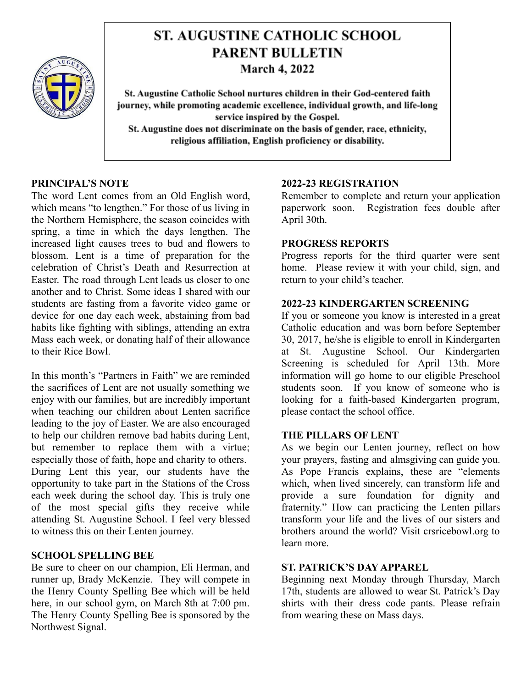

# **ST. AUGUSTINE CATHOLIC SCHOOL PARENT BULLETIN March 4, 2022**

St. Augustine Catholic School nurtures children in their God-centered faith journey, while promoting academic excellence, individual growth, and life-long service inspired by the Gospel. St. Augustine does not discriminate on the basis of gender, race, ethnicity, religious affiliation, English proficiency or disability.

# **PRINCIPAL'S NOTE**

The word Lent comes from an Old English word, which means "to lengthen." For those of us living in the Northern Hemisphere, the season coincides with spring, a time in which the days lengthen. The increased light causes trees to bud and flowers to blossom. Lent is a time of preparation for the celebration of Christ's Death and Resurrection at Easter. The road through Lent leads us closer to one another and to Christ. Some ideas I shared with our students are fasting from a favorite video game or device for one day each week, abstaining from bad habits like fighting with siblings, attending an extra Mass each week, or donating half of their allowance to their Rice Bowl.

In this month's "Partners in Faith" we are reminded the sacrifices of Lent are not usually something we enjoy with our families, but are incredibly important when teaching our children about Lenten sacrifice leading to the joy of Easter. We are also encouraged to help our children remove bad habits during Lent, but remember to replace them with a virtue; especially those of faith, hope and charity to others. During Lent this year, our students have the opportunity to take part in the Stations of the Cross each week during the school day. This is truly one of the most special gifts they receive while attending St. Augustine School. I feel very blessed to witness this on their Lenten journey.

## **SCHOOL SPELLING BEE**

Be sure to cheer on our champion, Eli Herman, and runner up, Brady McKenzie. They will compete in the Henry County Spelling Bee which will be held here, in our school gym, on March 8th at 7:00 pm. The Henry County Spelling Bee is sponsored by the Northwest Signal.

## **2022-23 REGISTRATION**

Remember to complete and return your application paperwork soon. Registration fees double after April 30th.

# **PROGRESS REPORTS**

Progress reports for the third quarter were sent home. Please review it with your child, sign, and return to your child's teacher.

## **2022-23 KINDERGARTEN SCREENING**

If you or someone you know is interested in a great Catholic education and was born before September 30, 2017, he/she is eligible to enroll in Kindergarten at St. Augustine School. Our Kindergarten Screening is scheduled for April 13th. More information will go home to our eligible Preschool students soon. If you know of someone who is looking for a faith-based Kindergarten program, please contact the school office.

#### **THE PILLARS OF LENT**

As we begin our Lenten journey, reflect on how your prayers, fasting and almsgiving can guide you. As Pope Francis explains, these are "elements which, when lived sincerely, can transform life and provide a sure foundation for dignity and fraternity." How can practicing the Lenten pillars transform your life and the lives of our sisters and brothers around the world? Visit crsricebowl.org to learn more.

#### **ST. PATRICK'S DAY APPAREL**

Beginning next Monday through Thursday, March 17th, students are allowed to wear St. Patrick's Day shirts with their dress code pants. Please refrain from wearing these on Mass days.